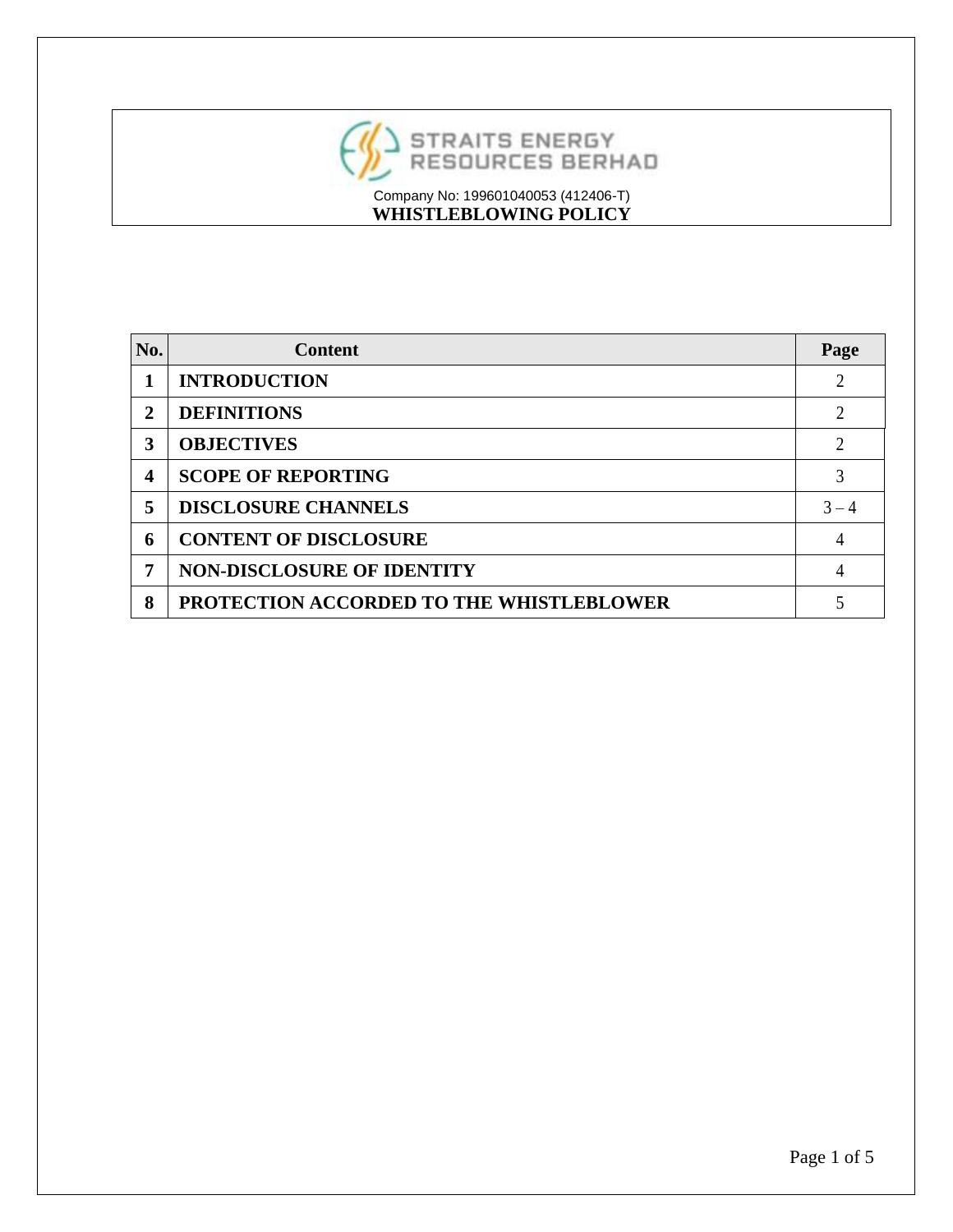

| No. | <b>Content</b>                           | Page    |
|-----|------------------------------------------|---------|
|     | <b>INTRODUCTION</b>                      | 2       |
| 2   | <b>DEFINITIONS</b>                       | 2       |
| 3   | <b>OBJECTIVES</b>                        | 2       |
| 4   | <b>SCOPE OF REPORTING</b>                | 3       |
| 5   | <b>DISCLOSURE CHANNELS</b>               | $3 - 4$ |
| 6   | <b>CONTENT OF DISCLOSURE</b>             | 4       |
| 7   | <b>NON-DISCLOSURE OF IDENTITY</b>        | 4       |
| 8   | PROTECTION ACCORDED TO THE WHISTLEBLOWER |         |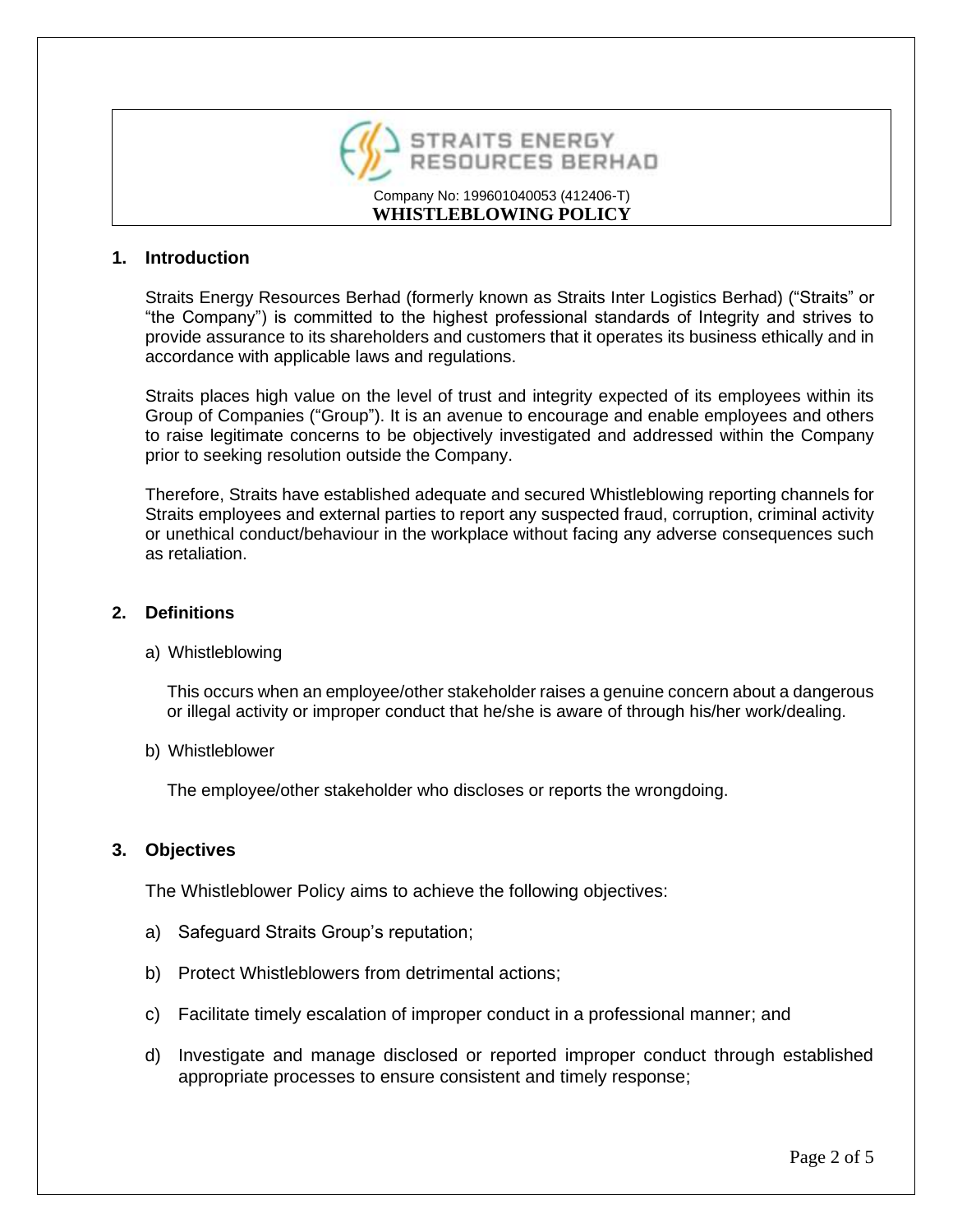

#### **1. Introduction**

Straits Energy Resources Berhad (formerly known as Straits Inter Logistics Berhad) ("Straits" or "the Company") is committed to the highest professional standards of Integrity and strives to provide assurance to its shareholders and customers that it operates its business ethically and in accordance with applicable laws and regulations.

Straits places high value on the level of trust and integrity expected of its employees within its Group of Companies ("Group"). It is an avenue to encourage and enable employees and others to raise legitimate concerns to be objectively investigated and addressed within the Company prior to seeking resolution outside the Company.

Therefore, Straits have established adequate and secured Whistleblowing reporting channels for Straits employees and external parties to report any suspected fraud, corruption, criminal activity or unethical conduct/behaviour in the workplace without facing any adverse consequences such as retaliation.

#### **2. Definitions**

#### a) Whistleblowing

This occurs when an employee/other stakeholder raises a genuine concern about a dangerous or illegal activity or improper conduct that he/she is aware of through his/her work/dealing.

b) Whistleblower

The employee/other stakeholder who discloses or reports the wrongdoing.

#### **3. Objectives**

The Whistleblower Policy aims to achieve the following objectives:

- a) Safeguard Straits Group's reputation;
- b) Protect Whistleblowers from detrimental actions;
- c) Facilitate timely escalation of improper conduct in a professional manner; and
- d) Investigate and manage disclosed or reported improper conduct through established appropriate processes to ensure consistent and timely response;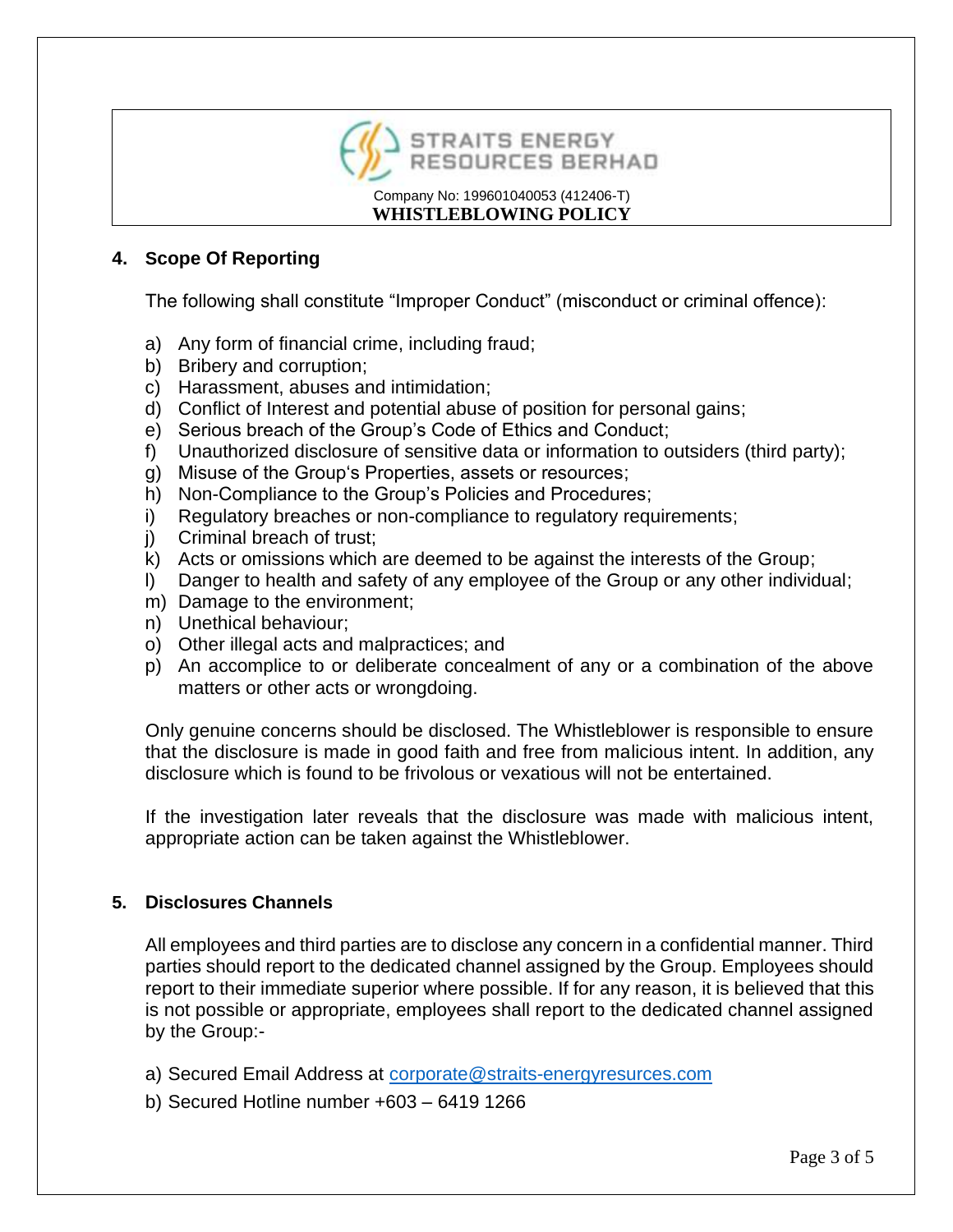

### **4. Scope Of Reporting**

The following shall constitute "Improper Conduct" (misconduct or criminal offence):

- a) Any form of financial crime, including fraud;
- b) Bribery and corruption;
- c) Harassment, abuses and intimidation;
- d) Conflict of Interest and potential abuse of position for personal gains;
- e) Serious breach of the Group's Code of Ethics and Conduct;
- f) Unauthorized disclosure of sensitive data or information to outsiders (third party);
- g) Misuse of the Group's Properties, assets or resources;
- h) Non-Compliance to the Group's Policies and Procedures;
- i) Regulatory breaches or non-compliance to regulatory requirements;
- j) Criminal breach of trust;
- k) Acts or omissions which are deemed to be against the interests of the Group;
- l) Danger to health and safety of any employee of the Group or any other individual;
- m) Damage to the environment;
- n) Unethical behaviour;
- o) Other illegal acts and malpractices; and
- p) An accomplice to or deliberate concealment of any or a combination of the above matters or other acts or wrongdoing.

Only genuine concerns should be disclosed. The Whistleblower is responsible to ensure that the disclosure is made in good faith and free from malicious intent. In addition, any disclosure which is found to be frivolous or vexatious will not be entertained.

If the investigation later reveals that the disclosure was made with malicious intent, appropriate action can be taken against the Whistleblower.

# **5. Disclosures Channels**

All employees and third parties are to disclose any concern in a confidential manner. Third parties should report to the dedicated channel assigned by the Group. Employees should report to their immediate superior where possible. If for any reason, it is believed that this is not possible or appropriate, employees shall report to the dedicated channel assigned by the Group:-

- a) Secured Email Address at [corporate@straits-energyresurces.com](mailto:corporate@straits-energyresurces.com)
- b) Secured Hotline number +603 6419 1266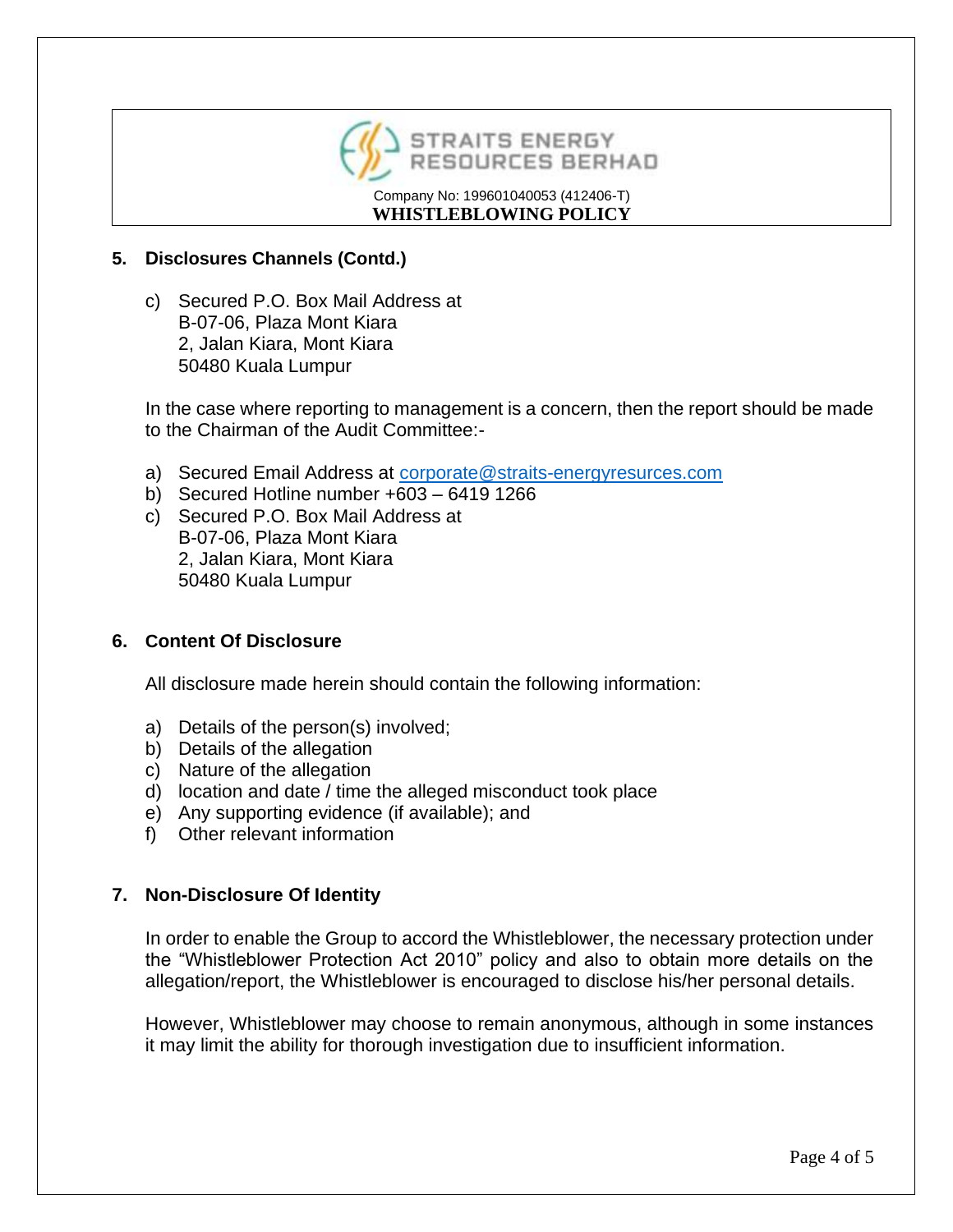

### **5. Disclosures Channels (Contd.)**

c) Secured P.O. Box Mail Address at B-07-06, Plaza Mont Kiara 2, Jalan Kiara, Mont Kiara 50480 Kuala Lumpur

In the case where reporting to management is a concern, then the report should be made to the Chairman of the Audit Committee:-

- a) Secured Email Address at [corporate@straits-energyresurces.com](mailto:corporate@straits-energyresurces.com)
- b) Secured Hotline number +603 6419 1266
- c) Secured P.O. Box Mail Address at B-07-06, Plaza Mont Kiara 2, Jalan Kiara, Mont Kiara 50480 Kuala Lumpur

# **6. Content Of Disclosure**

All disclosure made herein should contain the following information:

- a) Details of the person(s) involved;
- b) Details of the allegation
- c) Nature of the allegation
- d) location and date / time the alleged misconduct took place
- e) Any supporting evidence (if available); and
- f) Other relevant information

# **7. Non-Disclosure Of Identity**

In order to enable the Group to accord the Whistleblower, the necessary protection under the "Whistleblower Protection Act 2010" policy and also to obtain more details on the allegation/report, the Whistleblower is encouraged to disclose his/her personal details.

However, Whistleblower may choose to remain anonymous, although in some instances it may limit the ability for thorough investigation due to insufficient information.